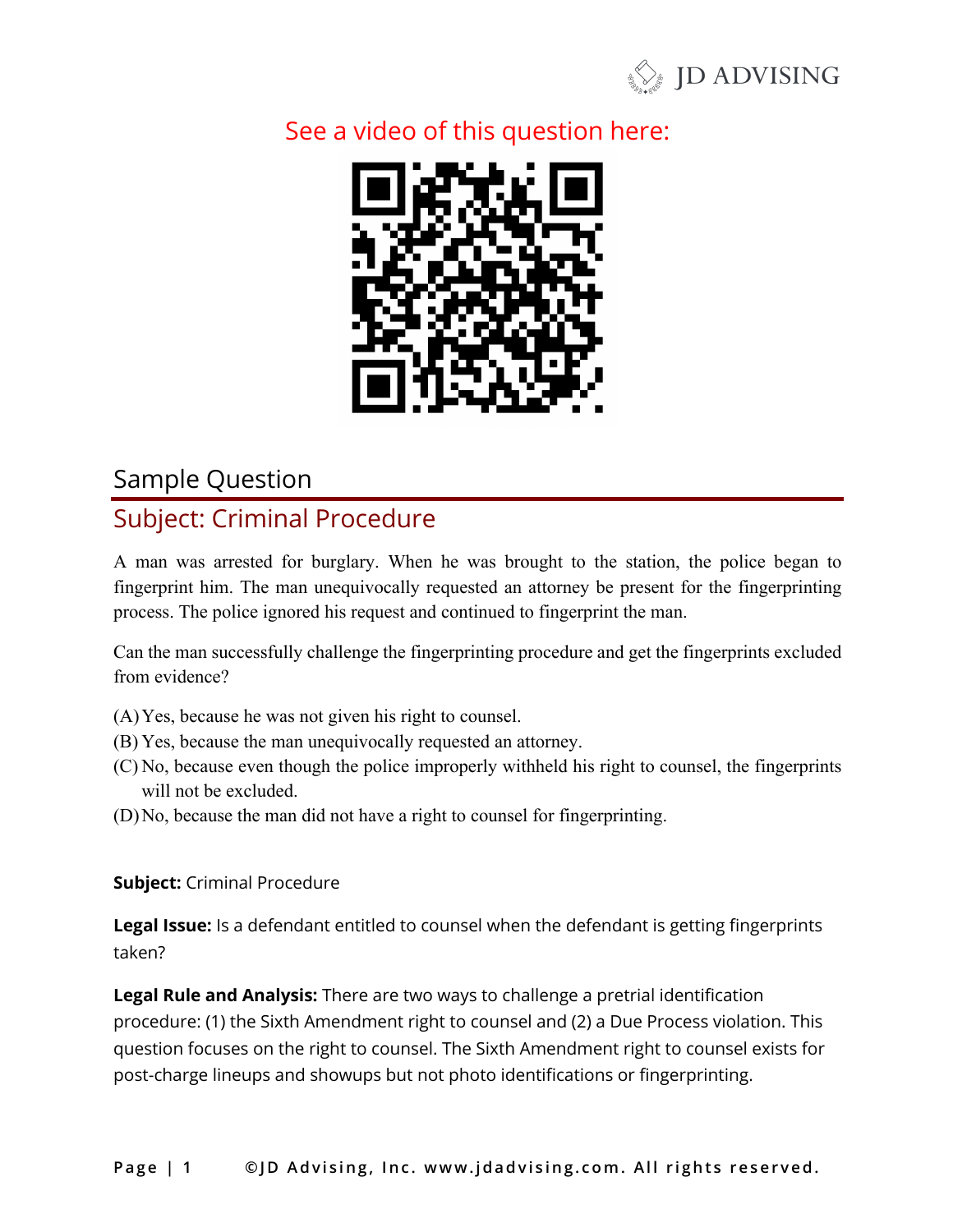

## See a video of this question here:



#### Sample Question

## Subject: Criminal Procedure

A man was arrested for burglary. When he was brought to the station, the police began to fingerprint him. The man unequivocally requested an attorney be present for the fingerprinting process. The police ignored his request and continued to fingerprint the man.

Can the man successfully challenge the fingerprinting procedure and get the fingerprints excluded from evidence?

- (A)Yes, because he was not given his right to counsel.
- (B) Yes, because the man unequivocally requested an attorney.
- (C) No, because even though the police improperly withheld his right to counsel, the fingerprints will not be excluded.
- (D)No, because the man did not have a right to counsel for fingerprinting.

**Subject:** Criminal Procedure

**Legal Issue:** Is a defendant entitled to counsel when the defendant is getting fingerprints taken?

**Legal Rule and Analysis:** There are two ways to challenge a pretrial identification procedure: (1) the Sixth Amendment right to counsel and (2) a Due Process violation. This question focuses on the right to counsel. The Sixth Amendment right to counsel exists for post-charge lineups and showups but not photo identifications or fingerprinting.